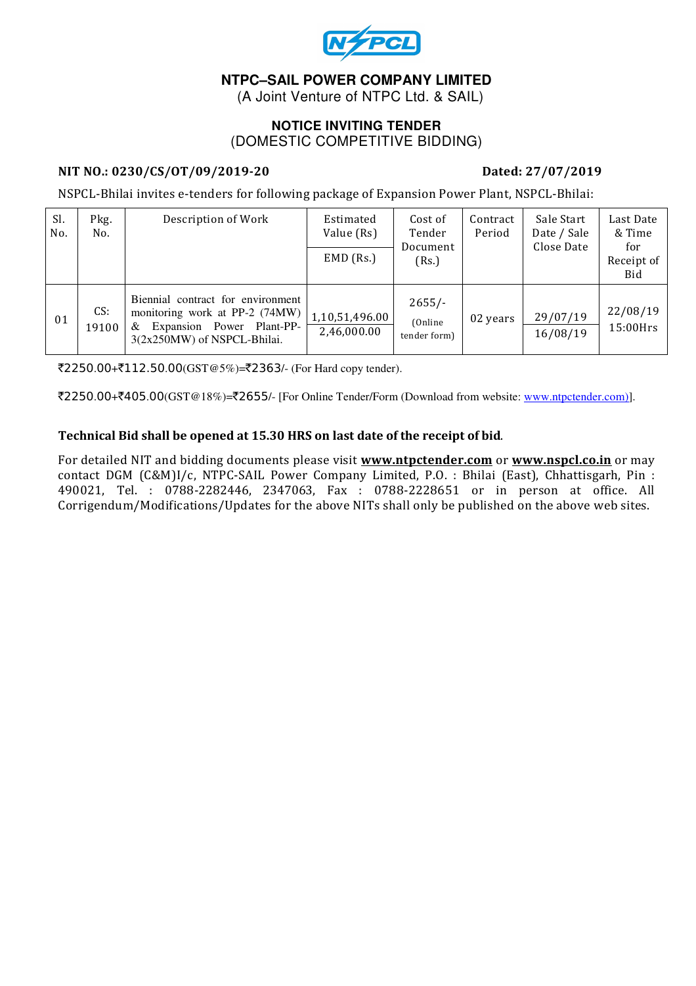

# **NTPC–SAIL POWER COMPANY LIMITED**

(A Joint Venture of NTPC Ltd. & SAIL)

### **NOTICE INVITING TENDER**  (DOMESTIC COMPETITIVE BIDDING)

### NIT NO.: 0230/CS/OT/09/2019-20 Dated: 27/07/2019

NSPCL-Bhilai invites e-tenders for following package of Expansion Power Plant, NSPCL-Bhilai:

| Sl.<br>No. | Pkg.<br>No.  | Description of Work                                                                                                                  | Estimated<br>Value (Rs)<br>$EMD$ (Rs.) | Cost of<br>Tender<br>Document<br>(Rs.) | Contract<br>Period | Sale Start<br>Date / Sale<br>Close Date | Last Date<br>& Time<br>for<br>Receipt of<br>Bid |
|------------|--------------|--------------------------------------------------------------------------------------------------------------------------------------|----------------------------------------|----------------------------------------|--------------------|-----------------------------------------|-------------------------------------------------|
| 01         | CS:<br>19100 | Biennial contract for environment<br>monitoring work at PP-2 (74MW)<br>Expansion Power Plant-PP-<br>&<br>3(2x250MW) of NSPCL-Bhilai. | 1,10,51,496.00<br>2,46,000.00          | $2655/-$<br>(Online)<br>tender form)   | 02 years           | 29/07/19<br>16/08/19                    | 22/08/19<br>15:00Hrs                            |

 $\overline{2250.00} + \overline{2112.50.00}$  (GST @5%)= $\overline{22363}$ /- (For Hard copy tender).

₹2250.00+₹405.00(GST@18%)=₹2655/- [For Online Tender/Form (Download from website: www.ntpctender.com)].

#### Technical Bid shall be opened at 15.30 HRS on last date of the receipt of bid.

For detailed NIT and bidding documents please visit www.ntpctender.com or www.nspcl.co.in or may contact DGM (C&M)I/c, NTPC-SAIL Power Company Limited, P.O. : Bhilai (East), Chhattisgarh, Pin : 490021, Tel. : 0788-2282446, 2347063, Fax : 0788-2228651 or in person at office. All Corrigendum/Modifications/Updates for the above NITs shall only be published on the above web sites.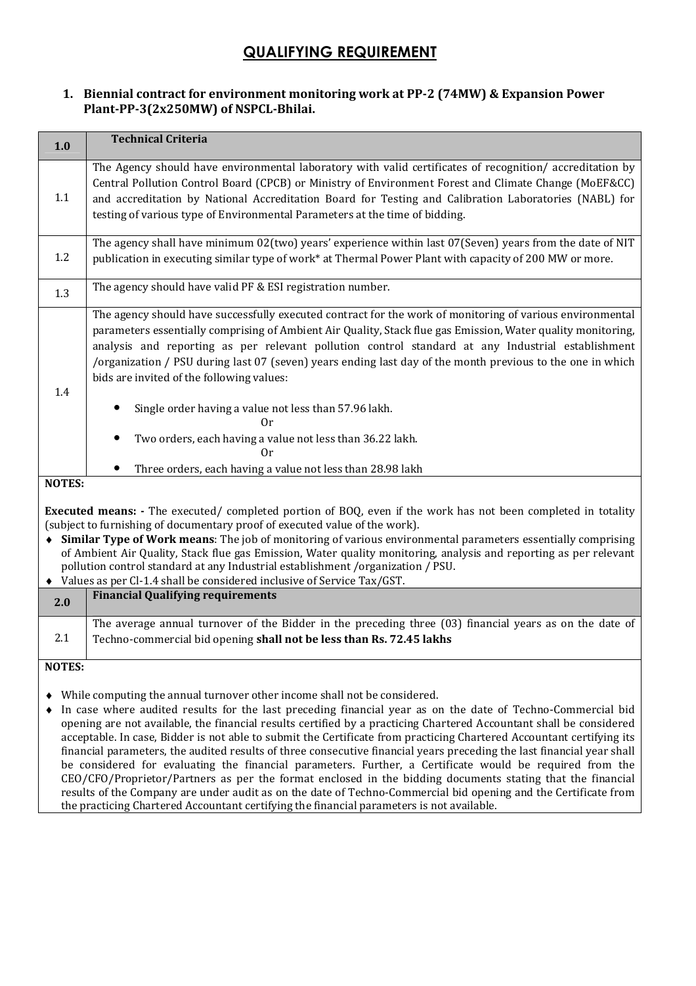# QUALIFYING REQUIREMENT

#### 1. Biennial contract for environment monitoring work at PP-2 (74MW) & Expansion Power Plant-PP-3(2x250MW) of NSPCL-Bhilai.

| 1.0                                                                                                                                                                                                                                                                                                                                                                                                                                                                                                                                                                                                     | <b>Technical Criteria</b>                                                                                                                                                                                                                                                                                                                                                                                                                                                                                                                                                                                                                                                                 |  |  |  |  |
|---------------------------------------------------------------------------------------------------------------------------------------------------------------------------------------------------------------------------------------------------------------------------------------------------------------------------------------------------------------------------------------------------------------------------------------------------------------------------------------------------------------------------------------------------------------------------------------------------------|-------------------------------------------------------------------------------------------------------------------------------------------------------------------------------------------------------------------------------------------------------------------------------------------------------------------------------------------------------------------------------------------------------------------------------------------------------------------------------------------------------------------------------------------------------------------------------------------------------------------------------------------------------------------------------------------|--|--|--|--|
| 1.1                                                                                                                                                                                                                                                                                                                                                                                                                                                                                                                                                                                                     | The Agency should have environmental laboratory with valid certificates of recognition/ accreditation by<br>Central Pollution Control Board (CPCB) or Ministry of Environment Forest and Climate Change (MoEF&CC)<br>and accreditation by National Accreditation Board for Testing and Calibration Laboratories (NABL) for<br>testing of various type of Environmental Parameters at the time of bidding.                                                                                                                                                                                                                                                                                 |  |  |  |  |
| 1.2                                                                                                                                                                                                                                                                                                                                                                                                                                                                                                                                                                                                     | The agency shall have minimum $02$ (two) years' experience within last $07$ (Seven) years from the date of NIT<br>publication in executing similar type of work* at Thermal Power Plant with capacity of 200 MW or more.                                                                                                                                                                                                                                                                                                                                                                                                                                                                  |  |  |  |  |
| 1.3                                                                                                                                                                                                                                                                                                                                                                                                                                                                                                                                                                                                     | The agency should have valid PF & ESI registration number.                                                                                                                                                                                                                                                                                                                                                                                                                                                                                                                                                                                                                                |  |  |  |  |
| 1.4                                                                                                                                                                                                                                                                                                                                                                                                                                                                                                                                                                                                     | The agency should have successfully executed contract for the work of monitoring of various environmental<br>parameters essentially comprising of Ambient Air Quality, Stack flue gas Emission, Water quality monitoring,<br>analysis and reporting as per relevant pollution control standard at any Industrial establishment<br>/organization / PSU during last 07 (seven) years ending last day of the month previous to the one in which<br>bids are invited of the following values:<br>Single order having a value not less than 57.96 lakh.<br>0r<br>Two orders, each having a value not less than 36.22 lakh.<br>0r<br>Three orders, each having a value not less than 28.98 lakh |  |  |  |  |
| <b>NOTES:</b>                                                                                                                                                                                                                                                                                                                                                                                                                                                                                                                                                                                           |                                                                                                                                                                                                                                                                                                                                                                                                                                                                                                                                                                                                                                                                                           |  |  |  |  |
| <b>Executed means:</b> - The executed/ completed portion of BOQ, even if the work has not been completed in totality<br>(subject to furnishing of documentary proof of executed value of the work).<br>• Similar Type of Work means: The job of monitoring of various environmental parameters essentially comprising<br>of Ambient Air Quality, Stack flue gas Emission, Water quality monitoring, analysis and reporting as per relevant<br>pollution control standard at any Industrial establishment /organization / PSU.<br>Values as per Cl-1.4 shall be considered inclusive of Service Tax/GST. |                                                                                                                                                                                                                                                                                                                                                                                                                                                                                                                                                                                                                                                                                           |  |  |  |  |
| 2.0                                                                                                                                                                                                                                                                                                                                                                                                                                                                                                                                                                                                     | <b>Financial Qualifying requirements</b>                                                                                                                                                                                                                                                                                                                                                                                                                                                                                                                                                                                                                                                  |  |  |  |  |
| 2.1                                                                                                                                                                                                                                                                                                                                                                                                                                                                                                                                                                                                     | The average annual turnover of the Bidder in the preceding three (03) financial years as on the date of<br>Techno-commercial bid opening shall not be less than Rs. 72.45 lakhs                                                                                                                                                                                                                                                                                                                                                                                                                                                                                                           |  |  |  |  |
| <b>NOTES:</b>                                                                                                                                                                                                                                                                                                                                                                                                                                                                                                                                                                                           |                                                                                                                                                                                                                                                                                                                                                                                                                                                                                                                                                                                                                                                                                           |  |  |  |  |
| • While computing the annual turnover other income shall not be considered.<br>In case where audited results for the last preceding financial year as on the date of Techno-Commercial bid                                                                                                                                                                                                                                                                                                                                                                                                              |                                                                                                                                                                                                                                                                                                                                                                                                                                                                                                                                                                                                                                                                                           |  |  |  |  |

♦ In case where audited results for the last preceding financial year as on the date of Techno-Commercial bid opening are not available, the financial results certified by a practicing Chartered Accountant shall be considered acceptable. In case, Bidder is not able to submit the Certificate from practicing Chartered Accountant certifying its financial parameters, the audited results of three consecutive financial years preceding the last financial year shall be considered for evaluating the financial parameters. Further, a Certificate would be required from the CEO/CFO/Proprietor/Partners as per the format enclosed in the bidding documents stating that the financial results of the Company are under audit as on the date of Techno-Commercial bid opening and the Certificate from the practicing Chartered Accountant certifying the financial parameters is not available.